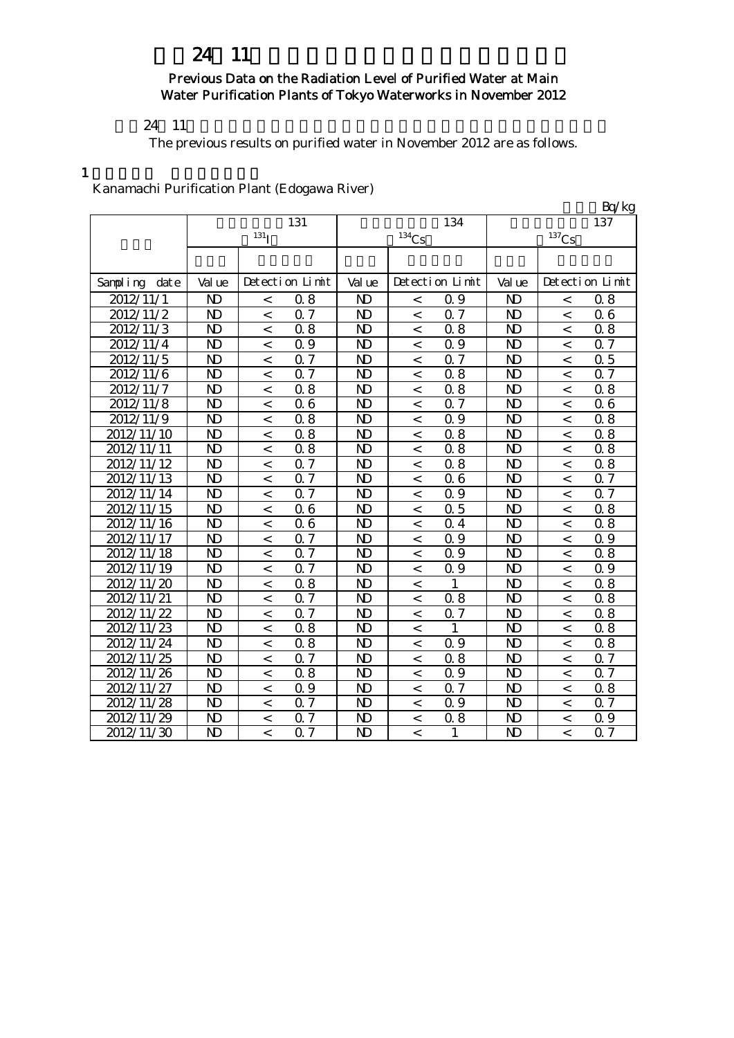# 24 11

#### Previous Data on the Radiation Level of Purified Water at Main Water Purification Plants of Tokyo Waterworks in November 2012

 $24 \quad 11$ 

The previous results on purified water in November 2012 are as follows.

#### 1

Kanamachi Purification Plant (Edogawa River)

|                  |                |                    |                            |                         |                   |                 |                |                          | Bq/kg            |
|------------------|----------------|--------------------|----------------------------|-------------------------|-------------------|-----------------|----------------|--------------------------|------------------|
|                  |                |                    | 131                        |                         |                   | 134             |                |                          | 137              |
|                  |                | $131$ <sup>T</sup> |                            |                         | 134C <sub>S</sub> |                 |                | $137$ Cs                 |                  |
|                  |                |                    |                            |                         |                   |                 |                |                          |                  |
|                  |                |                    |                            |                         |                   |                 |                |                          |                  |
| date<br>Sampling | Val ue         |                    | Detection Limit            | Val ue                  |                   | Detection Limit | Val ue         |                          | Detection Limit  |
| 2012/11/1        | N <sub>D</sub> | $\,<\,$            | 0.8                        | N <sub>D</sub>          | $\,<$             | 0.9             | N <sub>D</sub> | $\,<$                    | 0.8              |
| 2012/11/2        | $\mathbf{D}$   | $\,<\,$            | 0.7                        | N <sub>D</sub>          | $\,<$             | 0.7             | $\mathbf{D}$   | $\,<\,$                  | 06               |
| 2012/11/3        | N <sub>D</sub> | $\,<$              | 0.8                        | N <sub>D</sub>          | $\,<$             | 0.8             | N <sub>D</sub> | $\,<\,$                  | 0.8              |
| 2012/11/4        | N <sub>D</sub> | $\,<$              | 0.9                        | N <sub>D</sub>          | $\,<$             | 0.9             | N <sub>D</sub> | $\,<$                    | 0.7              |
| 2012/11/5        | N <sub>D</sub> | $\,<$              | 0.7                        | N <sub>D</sub>          | $\,<\,$           | 0.7             | $\mathbf{D}$   | $\,<\,$                  | 0.5              |
| 2012/11/6        | N <sub>D</sub> | $\,<$              | 0.7                        | N <sub>D</sub>          | $\,<\,$           | 0.8             | N <sub>D</sub> | $\,<\,$                  | 0.7              |
| 2012/11/7        | N <sub>D</sub> | $\,<$              | 0.8                        | N <sub>D</sub>          | $\,<\,$           | 0.8             | $\mathbf{D}$   | $\,<\,$                  | 0.8              |
| 2012/11/8        | N <sub>D</sub> | $\,<$              | 0.6                        | N <sub>D</sub>          | $\prec$           | Q 7             | N <sub>D</sub> | $\,<\,$                  | 06               |
| 2012/11/9        | N <sub>D</sub> | $\,<$              | 0.8                        | N <sub>D</sub>          | $\,<$             | 0.9             | N <sub>D</sub> | $\overline{\phantom{a}}$ | 0.8              |
| 2012/11/10       | N <sub>D</sub> | $\,<\,$            | 0.8                        | N <sub>D</sub>          | $\,<$             | 0.8             | $\mathbf{D}$   | $\,<\,$                  | 0.8              |
| 2012/11/11       | N <sub>D</sub> | $\,<\,$            | 0.8                        | N <sub>D</sub>          | $\,<$             | 0.8             | N <sub>D</sub> | $\,<\,$                  | 0.8              |
| 2012/11/12       | N <sub>D</sub> | $\,<$              | 0.7                        | N <sub>D</sub>          | $\,<$             | 0.8             | N <sub>D</sub> | $\overline{\phantom{a}}$ | 0.8              |
| 2012/11/13       | N <sub>D</sub> | $\,<\,$            | $\overline{0.7}$           | N <sub>D</sub>          | $\,<\,$           | 06              | N <sub>D</sub> | $\overline{a}$           | $\overline{0.7}$ |
| 2012/11/14       | N <sub>D</sub> | $\,<$              | 0.7                        | N <sub>D</sub>          | $\,<\,$           | 0.9             | N <sub>D</sub> | $\,<\,$                  | 0.7              |
| 2012/11/15       | N <sub>D</sub> | $\,<\,$            | 0.6                        | N <sub>D</sub>          | $\,<\,$           | 0.5             | $\mathbf{D}$   | $\lt$                    | 0.8              |
| 2012/11/16       | N <sub>D</sub> | $\lt$              | 0.6                        | N <sub>D</sub>          | $\overline{<}$    | 0.4             | N <sub>D</sub> | $\overline{a}$           | $0.\overline{8}$ |
| 2012/11/17       | N <sub>D</sub> | $\,<$              | $\mathcal I$<br>$\Omega$   | N <sub>D</sub>          | $\,<$             | 0.9             | $\mathbf{D}$   | $\overline{<}$           | 0.9              |
| 2012/11/18       | N <sub>D</sub> | $\,<\,$            | 0.7                        | N <sub>D</sub>          | $\,<$             | 0.9             | $\mathbf{D}$   | $\,<\,$                  | 0.8              |
| 2012/11/19       | N <sub>D</sub> | $\,<\,$            | $\overline{0.7}$           | $\overline{\mathsf{D}}$ | $\,<$             | 0.9             | N <sub>D</sub> | $\,<\,$                  | 0.9              |
| 2012/11/20       | N <sub>D</sub> | $\,<\,$            | 0.8                        | N <sub>D</sub>          | $\,<$             |                 | N <sub>D</sub> | $\,<\,$                  | 0.8              |
| 2012/11/21       | N <sub>D</sub> | $\,<\,$            | 0.7                        | N <sub>D</sub>          | $\,<\,$           | 0.8             | N <sub>D</sub> | $\,<\,$                  | 0.8              |
| 2012/11/22       | N <sub>D</sub> | $\,<\,$            | $\overline{0.7}$           | N <sub>D</sub>          | $\,<\,$           | 0.7             | N <sub>D</sub> | $\,<\,$                  | 0.8              |
| 2012/11/23       | N <sub>D</sub> | $\,<$              | 0.8                        | N <sub>D</sub>          | $\,<\,$           | 1               | N <sub>D</sub> | $\,<\,$                  | 0.8              |
| 2012/11/24       | N <sub>D</sub> | $\,<\,$            | 0.8                        | N <sub>D</sub>          | $\,<\,$           | 0.9             | N <sub>D</sub> | $\,<\,$                  | 0.8              |
| 2012/11/25       | N <sub>D</sub> | $\lt$              | $\overline{7}$<br>$\Omega$ | N <sub>D</sub>          | $\,<$             | 0.8             | N <sub>D</sub> | $\lt$                    | 0.7              |
| 2012/11/26       | N <sub>D</sub> | $\,<$              | 0.8                        | N <sub>D</sub>          | $\,<$             | 0.9             | N <sub>D</sub> | $\,<\,$                  | 0.7              |
| 2012/11/27       | N <sub>D</sub> | $\,<$              | 0.9                        | N <sub>D</sub>          | $\,<\,$           | 0.7             | N <sub>D</sub> | $\,<\,$                  | 0.8              |
| 2012/11/28       | N <sub>D</sub> | $\,<$              | 0.7                        | N <sub>D</sub>          | $\,<$             | 0.9             | N <sub>D</sub> | $\,<\,$                  | 0.7              |
| 2012/11/29       | ND             | $\,<\,$            | 0.7                        | N <sub>D</sub>          | $\,<$             | 0.8             | ND             | $\,<\,$                  | 0.9              |
| 2012/11/30       | N <sub>D</sub> | $\lt$              | 0.7                        | $\mathbf{D}$            | $\,<\,$           | 1               | N <sub>D</sub> | $\overline{a}$           | $0.\overline{7}$ |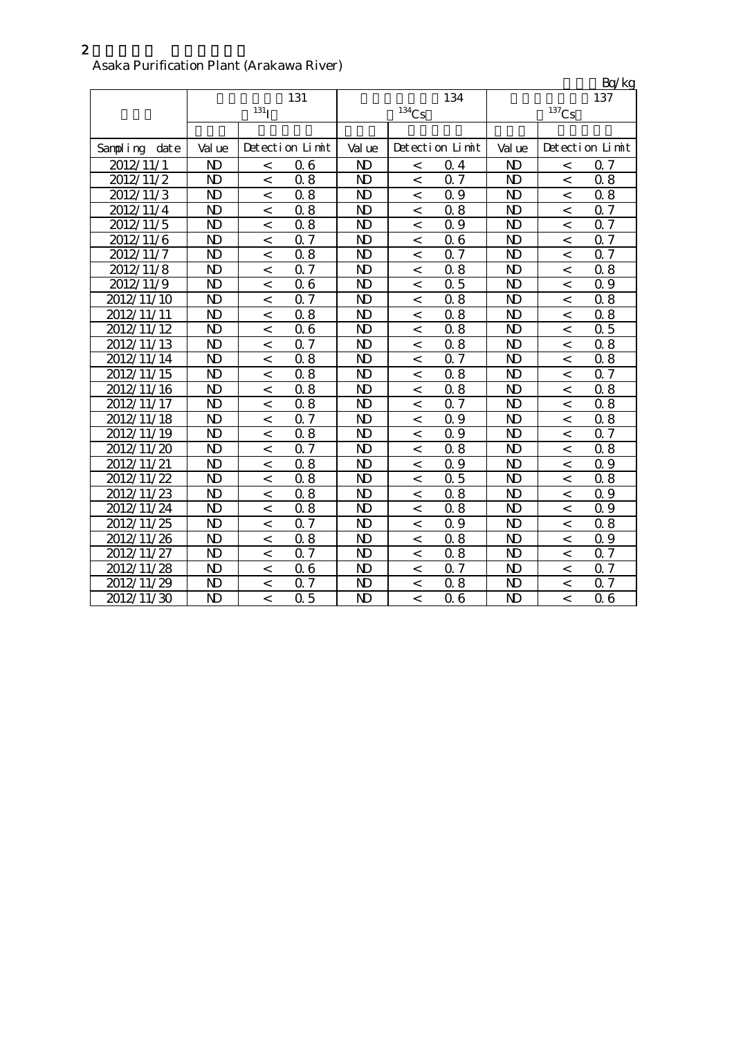## Asaka Purification Plant (Arakawa River)

|                   |                |                  |                  |                |                     |                 |                |                          | Bq/kg                      |
|-------------------|----------------|------------------|------------------|----------------|---------------------|-----------------|----------------|--------------------------|----------------------------|
|                   |                |                  | 131              |                |                     | 134             |                |                          | 137                        |
|                   |                | 131 <sub>I</sub> |                  |                | $^{134}\mathrm{Cs}$ |                 |                | $137$ Cs                 |                            |
|                   |                |                  |                  |                |                     |                 |                |                          |                            |
| Sampling<br>dat e | Val ue         |                  | Detection Limit  | Val ue         |                     | Detection Limit | Val ue         |                          | Detection Limit            |
| 2012/11/1         | $\mathbf{D}$   | $\,<\,$          | 0.6              | N <sub>D</sub> | $\,<\,$             | 0.4             | $\mathbf{D}$   | $\lt$                    | Q <sub>7</sub>             |
| 2012/11/2         | $\mathbf{D}$   | $\,<\,$          | 0.8              | $\mathbf{D}$   | $\,<\,$             | 0.7             | N <sub>D</sub> | $\overline{\phantom{a}}$ | 0.8                        |
| 2012/11/3         | N <sub>D</sub> | $\,<\,$          | 0.8              | $\mathbf{D}$   | $\,<\,$             | 0.9             | N <sub>D</sub> | $\,<\,$                  | 0.8                        |
| 2012/11/4         | N <sub>D</sub> | $\,<\,$          | 0.8              | N <sub>D</sub> | $\,<$               | 0.8             | N <sub>D</sub> | $\lt$                    | Q 7                        |
| 2012/11/5         | N <sub>D</sub> | $\,<\,$          | 0.8              | N <sub>D</sub> | $\,<\,$             | 0.9             | N <sub>D</sub> | $\lt$                    | 0.7                        |
| 2012/11/6         | N <sub>D</sub> | $\,<\,$          | 0.7              | N <sub>D</sub> | $\,<\,$             | 06              | N <sub>D</sub> | $\,<\,$                  | 0.7                        |
| 2012/11/7         | N <sub>D</sub> | $\,<\,$          | 0.8              | $\mathbf{D}$   | $\,<\,$             | 0.7             | N <sub>D</sub> | $\,<\,$                  | 0.7                        |
| 2012/11/8         | ND             | $\,<\,$          | 0.7              | N <sub>D</sub> | $\,<\,$             | 0.8             | N <sub>D</sub> | $\,<\,$                  | 0.8                        |
| 2012/11/9         | N <sub>D</sub> | $\,<\,$          | 0.6              | N <sub>D</sub> | $\lt$               | 0.5             | N <sub>D</sub> | $\lt$                    | Q 9                        |
| 2012/11/10        | N <sub>D</sub> | $\,<\,$          | 0.7              | N <sub>D</sub> | $\,<\,$             | 0.8             | N <sub>D</sub> | $\,<\,$                  | 0.8                        |
| 2012/11/11        | N <sub>D</sub> | $\,<\,$          | 0.8              | N <sub>D</sub> | $\,<\,$             | 0.8             | N <sub>D</sub> | $\,<\,$                  | 0.8                        |
| 2012/11/12        | N <sub>D</sub> | $\,<\,$          | 0.6              | N <sub>D</sub> | $\,<\,$             | 0.8             | N <sub>D</sub> | $\,<\,$                  | 0.5                        |
| 2012/11/13        | $\mathbf{D}$   | $\,<\,$          | 0.7              | N <sub>D</sub> | $\,<\,$             | 0.8             | N <sub>D</sub> | $\lt$                    | 0.8                        |
| 2012/11/14        | $\mathbf{D}$   | $\,<\,$          | 0.8              | N <sub>D</sub> | $\,<$               | 0.7             | N <sub>D</sub> | $\,<\,$                  | 0.8                        |
| 2012/11/15        | N <sub>D</sub> | $\,<\,$          | $\overline{0.8}$ | N <sub>D</sub> | $\,<$               | 0.8             | N <sub>D</sub> | $\overline{<}$           | $\overline{7}$<br>$\Omega$ |
| 2012/11/16        | N <sub>D</sub> | $\,<\,$          | 0.8              | N <sub>D</sub> | $\,<\,$             | 0.8             | N <sub>D</sub> | $\,<\,$                  | 0.8                        |
| 2012/11/17        | N <sub>D</sub> | $\,<\,$          | 0.8              | $\mathbf{N}$   | $\,<$               | 0.7             | N <sub>D</sub> | $\,<\,$                  | 0.8                        |
| 2012/11/18        | N <sub>D</sub> | $\,<$            | 0.7              | N <sub>D</sub> | $\,<\,$             | 0.9             | N <sub>D</sub> | $\,<\,$                  | 0.8                        |
| 2012/11/19        | ND             | $\,<\,$          | 0.8              | N <sub>D</sub> | $\,<\,$             | 0.9             | N <sub>D</sub> | $\lt$                    | 0.7                        |
| 2012/11/20        | N <sub>D</sub> | $\,<\,$          | 0.7              | N <sub>D</sub> | $\,<$               | 0.8             | N <sub>D</sub> | $\,<\,$                  | 0.8                        |
| 2012/11/21        | N <sub>D</sub> | $\,<\,$          | 0.8              | N <sub>D</sub> | $\,<$               | 0.9             | N <sub>D</sub> | $\,<$                    | 0.9                        |
| 2012/11/22        | N <sub>D</sub> | $\,<\,$          | 0.8              | N <sub>D</sub> | $\,<$               | 0.5             | N <sub>D</sub> | $\,<\,$                  | 0.8                        |
| 2012/11/23        | N <sub>D</sub> | $\,<\,$          | 0.8              | N <sub>D</sub> | $\,<\,$             | 0.8             | N <sub>D</sub> | $\overline{\phantom{0}}$ | 0.9                        |
| 2012/11/24        | $\overline{D}$ | $\,<\,$          | 0.8              | N <sub>D</sub> | $\,<\,$             | 0.8             | N <sub>D</sub> | $\overline{\phantom{a}}$ | 0.9                        |
| 2012/11/25        | N <sub>D</sub> | $\,<\,$          | 0.7              | N <sub>D</sub> | $\,<\,$             | 0.9             | N <sub>D</sub> | $\lt$                    | 0.8                        |
| 2012/11/26        | $\mathbf{D}$   | $\,<\,$          | 0.8              | N <sub>D</sub> | $\,<\,$             | 0.8             | N <sub>D</sub> | $\,<\,$                  | 0.9                        |
| 2012/11/27        | N <sub>D</sub> | $\,<\,$          | 0.7              | $\mathbf{N}$   | $\,<\,$             | 0.8             | N <sub>D</sub> | $\,<\,$                  | 0.7                        |
| 2012/11/28        | N <sub>D</sub> | $\,<\,$          | 0.6              | $\mathbf{N}$   | $\,<\,$             | 0.7             | N <sub>D</sub> | $\,<\,$                  | Q 7                        |
| 2012/11/29        | $\mathbf{D}$   | $\,<\,$          | 0.7              | $\mathbf{N}$   | $\,<\,$             | 0.8             | N <sub>D</sub> | $\,<\,$                  | 0.7                        |
| 2012/11/30        | N <sub>D</sub> | $\,<\,$          | 0.5              | N <sub>D</sub> | $\,<\,$             | 06              | N <sub>D</sub> | $\,<\,$                  | 06                         |

2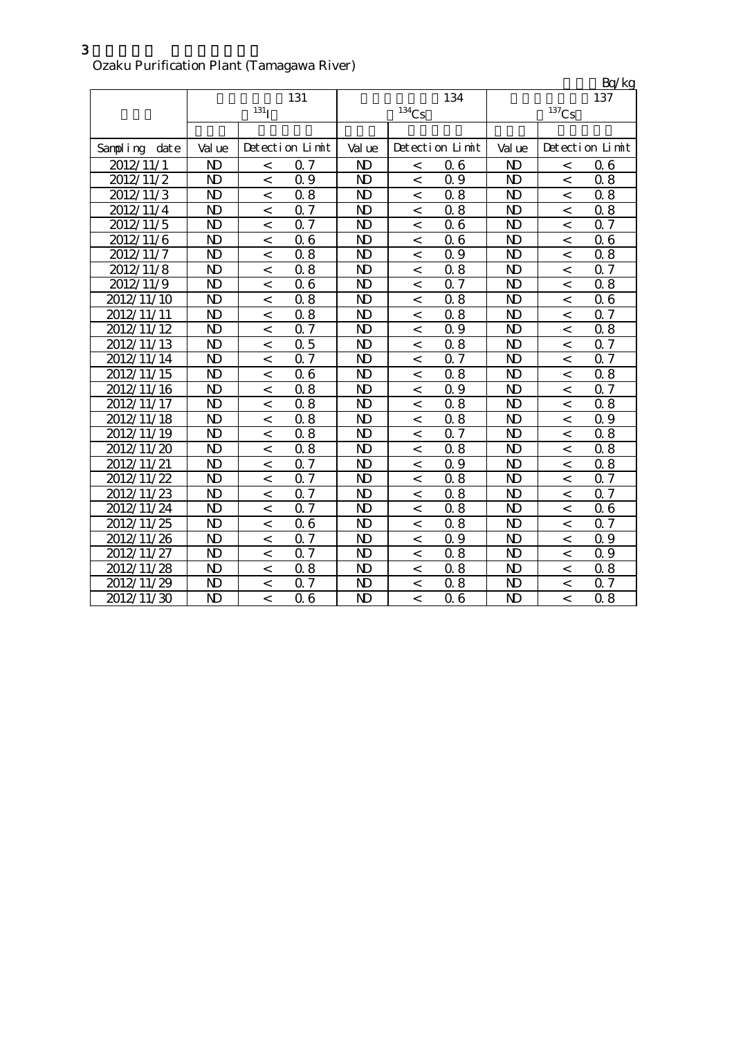# Ozaku Purification Plant (Tamagawa River)

|                   |                         |                  |                      |                |                |                 |                |                          | Bq/kg           |
|-------------------|-------------------------|------------------|----------------------|----------------|----------------|-----------------|----------------|--------------------------|-----------------|
|                   |                         |                  | 131                  |                |                | 134             |                |                          | 137             |
|                   |                         | 131 <sub>I</sub> |                      |                | $134$ Cs       |                 |                | $137$ Cs                 |                 |
|                   |                         |                  |                      |                |                |                 |                |                          |                 |
| Sampling<br>dat e | Val ue                  |                  | Detection Limit      | Val ue         |                | Detection Limit | Val ue         |                          | Detection Limit |
| 2012/11/1         | $\mathbf{D}$            | $\,<\,$          | 0.7                  | N <sub>D</sub> | $\,<\,$        | 06              | $\mathbf{D}$   | $\,<\,$                  | 06              |
| 2012/11/2         | $\overline{D}$          | $\overline{a}$   | Q 9                  | N <sub>D</sub> | $\,<\,$        | 0.9             | N <sub>D</sub> | $\overline{\phantom{a}}$ | 0.8             |
| 2012/11/3         | $\mathbf{D}$            | $\,<\,$          | 0.8                  | $\mathbf{D}$   | $\,<\,$        | 0.8             | N <sub>D</sub> | $\,<\,$                  | 0.8             |
| 2012/11/4         | N <sub>D</sub>          | $\,<\,$          | $0.\overline{7}$     | N <sub>D</sub> | $\overline{a}$ | 0.8             | N <sub>D</sub> | $\lt$                    | 0.8             |
| 2012/11/5         | N <sub>D</sub>          | $\,<\,$          | 0.7                  | $\mathbf{N}$   | $\,<\,$        | 06              | N <sub>D</sub> | $\,<\,$                  | 0.7             |
| 2012/11/6         | N <sub>D</sub>          | $\,<\,$          | 0.6                  | N <sub>D</sub> | $\,<$          | 06              | N <sub>D</sub> | $\,<\,$                  | 06              |
| 2012/11/7         | ND                      | $\,<\,$          | 0.8                  | $\mathbf{N}$   | $\,<\,$        | 0.9             | N <sub>D</sub> | $\,<\,$                  | 0.8             |
| 2012/11/8         | N <sub>D</sub>          | $\,<\,$          | 0.8                  | N <sub>D</sub> | $\,<\,$        | 0.8             | N <sub>D</sub> | $\lt$                    | 0.7             |
| 2012/11/9         | N <sub>D</sub>          | $\,<\,$          | 0.6                  | $\mathbf{D}$   | $\,<\,$        | 0.7             | N <sub>D</sub> | $\,<\,$                  | 0.8             |
| 2012/11/10        | N <sub>D</sub>          | $\,<\,$          | 0.8                  | N <sub>D</sub> | $\,<\,$        | 0.8             | N <sub>D</sub> | $\,<\,$                  | 06              |
| 2012/11/11        | N <sub>D</sub>          | $\,<\,$          | 0.8                  | N <sub>D</sub> | $\,<\,$        | 0.8             | N <sub>D</sub> | $\,<\,$                  | 0.7             |
| 2012/11/12        | N <sub>D</sub>          | $\,<\,$          | 0.7                  | N <sub>D</sub> | $\,<\,$        | 0.9             | N <sub>D</sub> | $\,<\,$                  | 0.8             |
| 2012/11/13        | N <sub>D</sub>          | $\,<\,$          | 0.5                  | N <sub>D</sub> | $\,<\,$        | 0.8             | N <sub>D</sub> | $\overline{\phantom{a}}$ | Q <sub>7</sub>  |
| 2012/11/14        | ND                      | $\,<\,$          | 0.7                  | N <sub>D</sub> | $\,<\,$        | 0.7             | N <sub>D</sub> | $\lt$                    | 0.7             |
| 2012/11/15        | N <sub>D</sub>          | $\,<\,$          | 0.6                  | N <sub>D</sub> | $\lt$          | 0.8             | N <sub>D</sub> | $\,<\,$                  | 0.8             |
| 2012/11/16        | N <sub>D</sub>          | $\,<\,$          | 0.8                  | $\mathbf{N}$   | $\,<\,$        | 0.9             | N <sub>D</sub> | $\,<\,$                  | Q 7             |
| 2012/11/17        | N <sub>D</sub>          | $\,<\,$          | 0.8                  | N <sub>D</sub> | $\,<$          | 0.8             | N <sub>D</sub> | $\,<$                    | 0.8             |
| 2012/11/18        | N <sub>D</sub>          | $\,<\,$          | 0.8                  | N <sub>D</sub> | $\,<\,$        | 0.8             | N <sub>D</sub> | $\,<\,$                  | 0.9             |
| 2012/11/19        | N <sub>D</sub>          | $\,<\,$          | 0.8                  | N <sub>D</sub> | $\,<\,$        | Q 7             | N <sub>D</sub> | $\,<\,$                  | 0.8             |
| 2012/11/20        | N <sub>D</sub>          | $\,<\,$          | 0.8                  | N <sub>D</sub> | $\,<\,$        | 0.8             | N <sub>D</sub> | $\,<\,$                  | 0.8             |
| 2012/11/21        | N <sub>D</sub>          | $\,<\,$          | 0.7                  | N <sub>D</sub> | $\,<\,$        | 0.9             | N <sub>D</sub> | $\overline{\phantom{a}}$ | 0.8             |
| 2012/11/22        | N <sub>D</sub>          | $\,<\,$          | 0.7                  | N <sub>D</sub> | $\,<\,$        | 0.8             | N <sub>D</sub> | $\,<\,$                  | 0.7             |
| 2012/11/23        | N <sub>D</sub>          | $\,<$            | 0.7                  | N <sub>D</sub> | $\,<$          | 0.8             | N <sub>D</sub> | $\overline{\phantom{a}}$ | 0.7             |
| 2012/11/24        | N <sub>D</sub>          | $\lt$            | 0.7                  | N <sub>D</sub> | $\,<$          | 0.8             | N <sub>D</sub> | $\overline{a}$           | 06              |
| 2012/11/25        | $\overline{\mathbf{D}}$ | $\,<\,$          | 0.6                  | N <sub>D</sub> | $\lt$          | 0.8             | N <sub>D</sub> | $\overline{a}$           | Q <sub>7</sub>  |
| 2012/11/26        | N <sub>D</sub>          | $\,<\,$          | $\overline{7}$<br>Q. | N <sub>D</sub> | $\lt$          | 0.9             | N <sub>D</sub> | $\lt$                    | 0.9             |
| 2012/11/27        | N <sub>D</sub>          | $\,<\,$          | $\overline{7}$<br>Q. | N <sub>D</sub> | $\,<$          | 0.8             | N <sub>D</sub> | $\,<\,$                  | 0.9             |
| 2012/11/28        | N <sub>D</sub>          | $\,<\,$          | 0.8                  | $\mathbf{N}$   | $\,<\,$        | 0.8             | N <sub>D</sub> | $\,<\,$                  | 0.8             |
| 2012/11/29        | $\mathbf{D}$            | $\,<\,$          | 0.7                  | $\mathbf{D}$   | $\,<\,$        | 0.8             | $\mathbf{D}$   | $\,<\,$                  | Q <sub>7</sub>  |
| 2012/11/30        | N <sub>D</sub>          | $\,<\,$          | 0.6                  | N <sub>D</sub> | $\,<$          | 06              | N <sub>D</sub> | $\,<\,$                  | 0.8             |

3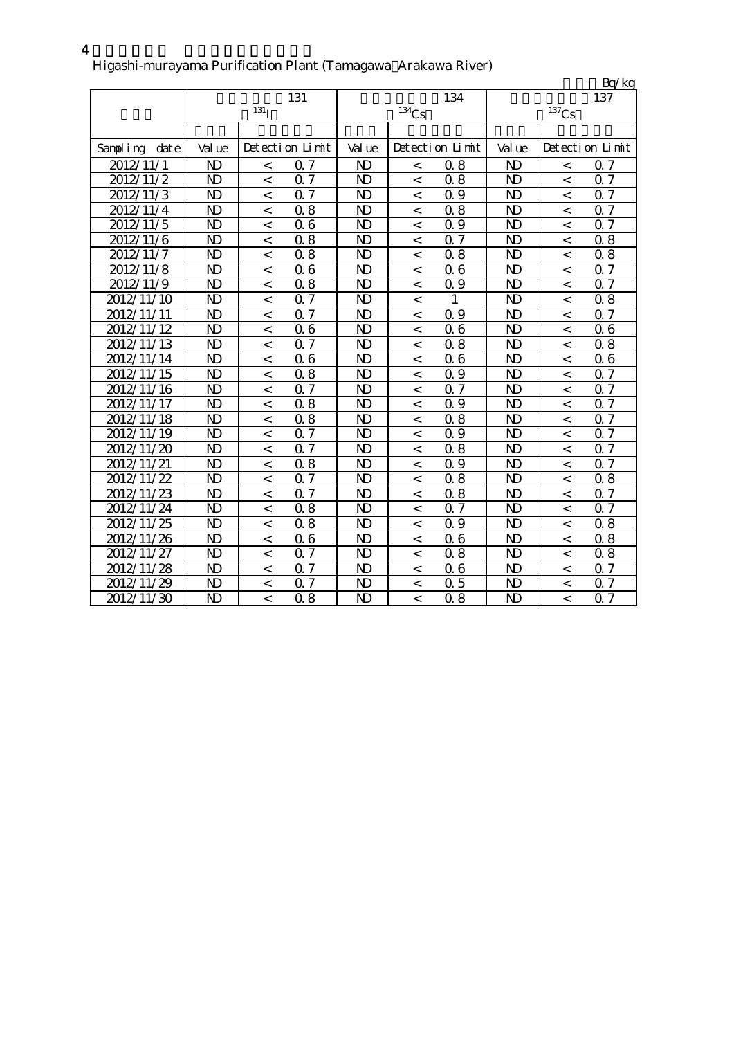|                        |                |                    |                  |                |          |                 |                |                | Bq/kg           |
|------------------------|----------------|--------------------|------------------|----------------|----------|-----------------|----------------|----------------|-----------------|
|                        |                |                    | 131              |                |          | 134             |                |                | 137             |
|                        |                | $^{131}\mathrm{I}$ |                  |                | $134$ Cs |                 |                | $137$ Cs       |                 |
|                        |                |                    |                  |                |          |                 |                |                |                 |
| Sampling<br>dat e      | Val ue         |                    | Detection Limit  | Val ue         |          | Detection Limit | Val ue         |                | Detection Limit |
| 2012/11/1              | ND             | $\,<$              | 0.7              | N <sub>D</sub> | $\,<$    | 0.8             | N <sub>D</sub> | $\,<$          | $\alpha$ 7      |
| 2012/11/2              | $\mathbf{D}$   | $\lt$              | 0.7              | $\mathbf{N}$   | $\,<\,$  | 0.8             | $\mathbf{N}$   | $\,<$          | 0.7             |
| 2012/11/3              | $\mathbf{D}$   | $\overline{a}$     | 0.7              | $\mathbf{N}$   | $\,<$    | 0.9             | N <sub>D</sub> | $\,<$          | 0.7             |
| $\overline{2}012/11/4$ | $\mathbf{D}$   | $\,<$              | 0.8              | $\mathbf{D}$   | $\,<$    | 0.8             | N <sub>D</sub> | $\overline{a}$ | $0\sqrt{7}$     |
| 2012/11/5              | $\mathbf{D}$   | $\,<$              | 0.6              | $\mathbf{D}$   | $\,<$    | 0.9             | N <sub>D</sub> | $\,<$          | $0.7\,$         |
| 2012/11/6              | N <sub>D</sub> | $\,<$              | 0.8              | $\mathbf{D}$   | $\,<$    | 0.7             | N <sub>D</sub> | $\,<$          | 0.8             |
| 2012/11/7              | $\mathbf{D}$   | $\,<\,$            | 0.8              | $\mathbf{D}$   | $\,<$    | 0.8             | $\mathbf{N}$   | $\,<$          | 0.8             |
| 2012/11/8              | $\mathbf{D}$   | $\,<\,$            | 0.6              | $\mathbf{N}$   | $\,<\,$  | 06              | N <sub>D</sub> | $\,<$          | 0.7             |
| 2012/11/9              | $\mathbf{D}$   | $\,<$              | 0.8              | $\mathbf{D}$   | $\,<\,$  | 0.9             | N <sub>D</sub> | $\,<$          | 0.7             |
| 2012/11/10             | $\mathbf{D}$   | $\lt$              | 0.7              | $\mathbf{N}$   | $\,<$    | 1               | N <sub>D</sub> | $\,<$          | 0.8             |
| 2012/11/11             | N <sub>D</sub> | $\,<$              | 0.7              | $\mathbf{D}$   | $\,<\,$  | 0.9             | N <sub>D</sub> | $\,<$          | 0.7             |
| 2012/11/12             | N <sub>D</sub> | $\lt$              | 0.6              | $\mathbf{N}$   | $\,<$    | 06              | N <sub>D</sub> | $\,<$          | 06              |
| 2012/11/13             | $\mathbf{D}$   | $\,<\,$            | 0.7              | $\mathbf{N}$   | $\,<\,$  | 0.8             | N <sub>D</sub> | $\lt$          | 0.8             |
| 2012/11/14             | N <sub>D</sub> | $\,<$              | 0.6              | $\mathbf{D}$   | $\,<$    | 06              | N <sub>D</sub> | $\,<$          | 06              |
| 2012/11/15             | $\mathbf{D}$   | $\,<$              | 0.8              | $\mathbf{N}$   | $\,<$    | 0.9             | N <sub>D</sub> | $\,<$          | 0.7             |
| 2012/11/16             | N <sub>D</sub> | $\,<$              | 0.7              | $\mathbf{D}$   | $\,<$    | 0.7             | N <sub>D</sub> | $\,<$          | 0.7             |
| 2012/11/17             | $\mathbf{D}$   | $\,<$              | 0.8              | $\mathbf{D}$   | $\,<$    | 0.9             | N <sub>D</sub> | $\,<$          | 0.7             |
| 2012/11/18             | N <sub>D</sub> | $\,<$              | 0.8              | $\mathbf{D}$   | $\,<$    | 0.8             | N <sub>D</sub> | $\,<$          | 0.7             |
| 2012/11/19             | $\mathbf{D}$   | $\,<$              | 0.7              | $\mathbf{N}$   | $\,<\,$  | 0.9             | N <sub>D</sub> | $\,<$          | 0.7             |
| 2012/11/20             | N <sub>D</sub> | $\overline{a}$     | $0.\overline{7}$ | $\mathbf{D}$   | $\,<$    | 0.8             | N <sub>D</sub> | $\,<$          | 0.7             |
| 2012/11/21             | N <sub>D</sub> | $\,<$              | 0.8              | $\mathbf{D}$   | $\,<\,$  | 0.9             | N <sub>D</sub> | $\overline{a}$ | Q 7             |
| 2012/11/22             | $\mathbf{D}$   | $\lt$              | 0.7              | $\mathbf{D}$   | $\,<\,$  | 0.8             | N <sub>D</sub> | $\lt$          | $0.8\,$         |
| 2012/11/23             | N <sub>D</sub> | $\,<\,$            | 0.7              | $\mathbf{D}$   | $\,<\,$  | 0.8             | N <sub>D</sub> | $\,<\,$        | 0.7             |
| 2012/11/24             | N <sub>D</sub> | $\,<$              | 0.8              | $\mathbf{D}$   | $\,<\,$  | 0.7             | $\mathbf{D}$   | $\,<$          | Q 7             |
| 2012/11/25             | N <sub>D</sub> | $\,<$              | 0.8              | $\mathbf{D}$   | $\,<\,$  | 0.9             | N <sub>D</sub> | $\,<$          | 0.8             |
| 2012/11/26             | N <sub>D</sub> | $\,<$              | 0.6              | $\mathbf{D}$   | $\,<\,$  | 06              | N <sub>D</sub> | $\,<$          | 0.8             |
| 2012/11/27             | $\mathbf{D}$   | $\,<$              | 0.7              | $\mathbf{D}$   | $\,<\,$  | 0.8             | $\mathbf{N}$   | $\lt$          | 0.8             |
| 2012/11/28             | N <sub>D</sub> | $\,<\,$            | 0.7              | $\mathbf{D}$   | $\,<\,$  | 06              | $\mathbf{D}$   | $\,<\,$        | 0.7             |
| 2012/11/29             | N <sub>D</sub> | $\overline{<}$     | $\overline{0.7}$ | $\mathbf{D}$   | $\,<\,$  | 0.5             | N <sub>D</sub> | $\lt$          | 0.7             |
| 2012/11/30             | $\mathbf{D}$   | $\lt$              | 0.8              | $\mathbf{D}$   | $\lt$    | 0.8             | N <sub>D</sub> | $\lt$          | 0.7             |

#### Higashi-murayama Purification Plant (Tamagawa Arakawa River)

 $4 \thinspace$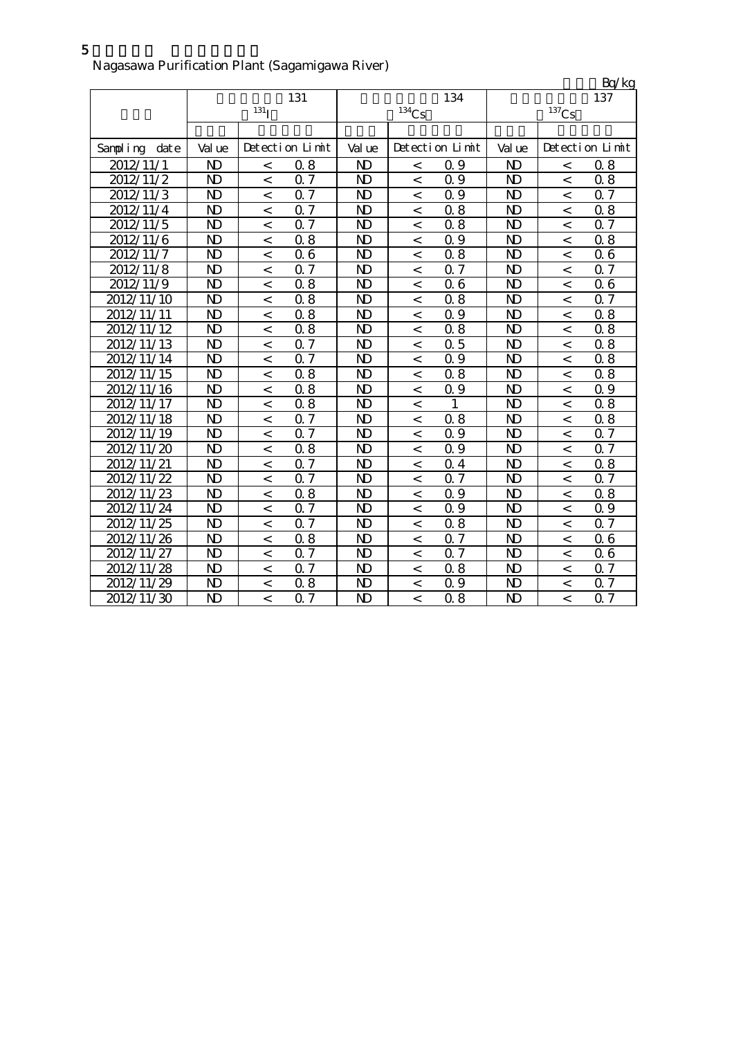| Nagasawa Purification Plant (Sagamigawa River) |  |
|------------------------------------------------|--|

|               |                |                    |                  |                |                          |                 |                |          | Bq/kg           |
|---------------|----------------|--------------------|------------------|----------------|--------------------------|-----------------|----------------|----------|-----------------|
|               |                |                    | 131              |                |                          | 134             |                |          | 137             |
|               |                | $131$ <sub>I</sub> |                  |                | $134$ Cs                 |                 |                | $137$ Cs |                 |
|               |                |                    |                  |                |                          |                 |                |          |                 |
| Sampling date | Val ue         |                    | Detection Limit  | Val ue         |                          | Detection Limit | Val ue         |          | Detection Limit |
| 2012/11/1     | N <sub>D</sub> | $\lt$              | 0.8              | $\mathbf{D}$   | $\,<\,$                  | 0.9             | $\mathbf{D}$   | $\,<\,$  | 0.8             |
| 2012/11/2     | $\mathbf{D}$   | $\,<\,$            | 0.7              | $\mathbf{D}$   | $\,<\,$                  | 0.9             | N <sub>D</sub> | $\,<$    | 0.8             |
| 2012/11/3     | N <sub>D</sub> | $\,<\,$            | 0.7              | $\mathbf{D}$   | $\,<\,$                  | 0.9             | N <sub>D</sub> | $\,<\,$  | 0.7             |
| 2012/11/4     | N <sub>D</sub> | $\,<\,$            | 0.7              | N <sub>D</sub> | $\,<\,$                  | 0.8             | N <sub>D</sub> | $\,<$    | 0.8             |
| 2012/11/5     | N <sub>D</sub> | $\,<\,$            | 0.7              | $\mathbf{D}$   | $\,<\,$                  | 0.8             | N <sub>D</sub> | $\,<\,$  | 0.7             |
| 2012/11/6     | N <sub>D</sub> | $\,<\,$            | 0.8              | N <sub>D</sub> | $\,<\,$                  | 0.9             | N <sub>D</sub> | $\,<\,$  | 0.8             |
| 2012/11/7     | N <sub>D</sub> | $\,<\,$            | 0.6              | $\mathbf{N}$   | $\,<\,$                  | 0.8             | $\mathbf{N}$   | $\,<\,$  | 06              |
| 2012/11/8     | N <sub>D</sub> | $\,<\,$            | 0.7              | $\mathbf{N}$   | $\,<\,$                  | 0.7             | $\mathbf{N}$   | $\,<$    | 0.7             |
| 2012/11/9     | N <sub>D</sub> | $\,<\,$            | 0.8              | $\mathbf{N}$   | $\,<\,$                  | 06              | N <sub>D</sub> | $\,<\,$  | 06              |
| 2012/11/10    | N <sub>D</sub> | $\,<\,$            | 0.8              | $\mathbf{N}$   | $\,<\,$                  | 0.8             | N <sub>D</sub> | $\,<\,$  | <b>Q7</b>       |
| 2012/11/11    | N <sub>D</sub> | $\,<\,$            | 0.8              | $\mathbf{D}$   | $\,<\,$                  | Q 9             | N <sub>D</sub> | $\,<\,$  | 0.8             |
| 2012/11/12    | N <sub>D</sub> | $\,<\,$            | 0.8              | $\mathbf{N}$   | $\,<\,$                  | 0.8             | $\mathbf{D}$   | $\,<\,$  | 0.8             |
| 2012/11/13    | N <sub>D</sub> | $\,<\,$            | 0.7              | $\mathbf{N}$   | $\,<\,$                  | 0.5             | $\mathbf{D}$   | $\lt$    | 0.8             |
| 2012/11/14    | N <sub>D</sub> | $\,<\,$            | 0.7              | $\mathbf{N}$   | $\,<$                    | 0.9             | N <sub>D</sub> | $\,<$    | 0.8             |
| 2012/11/15    | N <sub>D</sub> | $\,<\,$            | 0.8              | $\mathbf{N}$   | $\,<$                    | 0.8             | N <sub>D</sub> | $\,<$    | 0.8             |
| 2012/11/16    | N <sub>D</sub> | $\,<\,$            | 0.8              | $\mathbf{D}$   | $\,<\,$                  | 0.9             | N <sub>D</sub> | $\,<$    | 0.9             |
| 2012/11/17    | N <sub>D</sub> | $\,<\,$            | 0.8              | $\mathbf{D}$   | $\lt$                    | 1               | N <sub>D</sub> | $\lt$    | 0.8             |
| 2012/11/18    | N <sub>D</sub> | $\,<\,$            | 0.7              | $\mathbf{D}$   | $\,<\,$                  | 0.8             | N <sub>D</sub> | $\,<\,$  | 0.8             |
| 2012/11/19    | N <sub>D</sub> | $\lt$              | 0.7              | $\mathbf{N}$   | $\lt$                    | 0.9             | N <sub>D</sub> | $\,<$    | 0.7             |
| 2012/11/20    | N <sub>D</sub> | $\,<\,$            | 0.8              | $\mathbf{N}$   | $\,<\,$                  | 0.9             | N <sub>D</sub> | $\,<\,$  | 0.7             |
| 2012/11/21    | N <sub>D</sub> | $\,<\,$            | 0.7              | $\mathbf{N}$   | $\,<\,$                  | 0.4             | N <sub>D</sub> | $\,<$    | 0.8             |
| 2012/11/22    | N <sub>D</sub> | $\,<\,$            | 0.7              | $\mathbf{N}$   | $\overline{\phantom{a}}$ | 0.7             | $\mathbf{D}$   | $\,<$    | 0.7             |
| 2012/11/23    | N <sub>D</sub> | $\,<\,$            | 0.8              | $\mathbf{D}$   | $\,<\,$                  | 0.9             | N <sub>D</sub> | $\,<\,$  | 0.8             |
| 2012/11/24    | N <sub>D</sub> | $\,<\,$            | Q 7              | $\mathbf{D}$   | $\,<$                    | 0.9             | N <sub>D</sub> | $\,<\,$  | 0.9             |
| 2012/11/25    | N <sub>D</sub> | $\,<\,$            | $\overline{0.7}$ | N <sub>D</sub> | $\,<\,$                  | 0.8             | N <sub>D</sub> | $\lt$    | 0.7             |
| 2012/11/26    | N <sub>D</sub> | $\,<\,$            | 0.8              | $\mathbf{N}$   | $\,<\,$                  | $Q\bar{z}$      | N <sub>D</sub> | $\,<\,$  | 06              |
| 2012/11/27    | N <sub>D</sub> | $\,<\,$            | 0.7              | $\mathbf{D}$   | $\,<\,$                  | 0.7             | N <sub>D</sub> | $\,<$    | 06              |
| 2012/11/28    | N <sub>D</sub> | $\,<\,$            | 0.7              | $\mathbf{N}$   | $\,<\,$                  | 0.8             | N <sub>D</sub> | $\,<\,$  | 0.7             |
| 2012/11/29    | $\mathbf{D}$   | $\,<\,$            | 0.8              | $\mathbf{N}$   | $\,<\,$                  | 0.9             | $\mathbf{D}$   | $\,<\,$  | 0.7             |
| 2012/11/30    | N <sub>D</sub> | $\,<$              | 0.7              | $\mathbf{D}$   | $\,<\,$                  | 0.8             | N <sub>D</sub> | $\lt$    | 0.7             |

5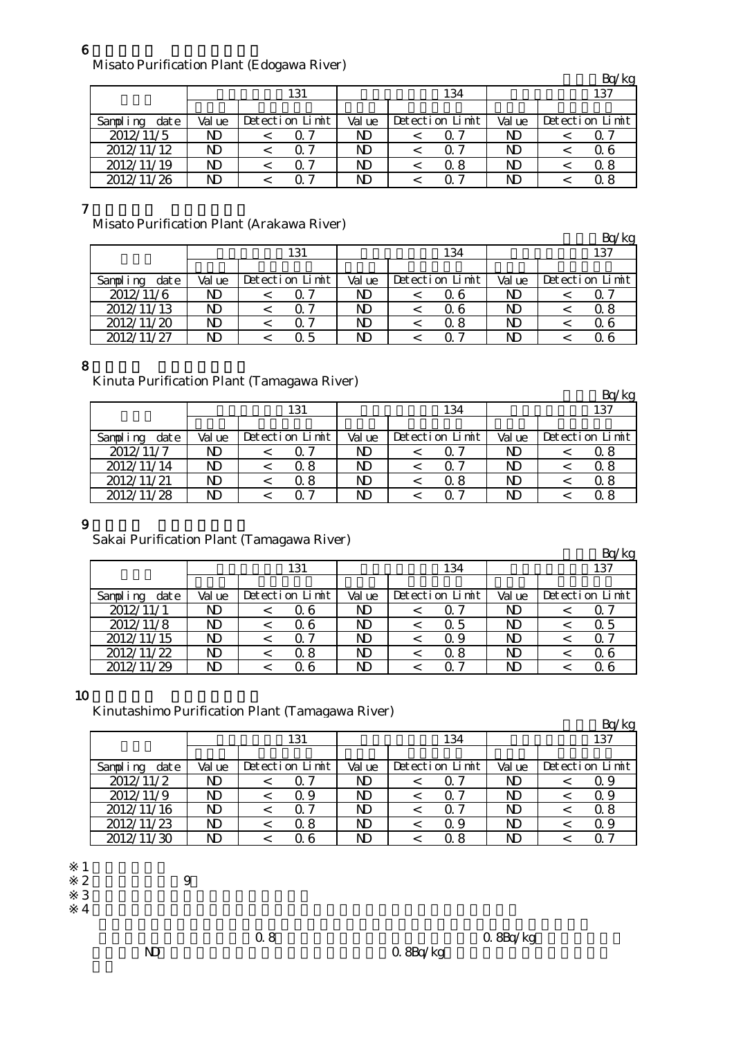#### 6

Misato Purification Plant (Edogawa River)

|                  |                |                 |        |  |                 |        |  | Bq/kg           |
|------------------|----------------|-----------------|--------|--|-----------------|--------|--|-----------------|
|                  |                | 131             | 134    |  |                 | 137    |  |                 |
|                  |                |                 |        |  |                 |        |  |                 |
| date<br>Sampling | Val ue         | Detection Limit | Val ue |  | Detection Limit | Val ue |  | Detection Limit |
| 2012/11/5        | ND             | 0. 7            | ND     |  | Q 7             | ND     |  | Q 7             |
| 2012/11/12       | ND             | 07              | ND     |  | 0. 7            | ND     |  | 0.6             |
| 2012/11/19       | N <sub>D</sub> | 0. 7            | ND     |  | 0.8             | ND     |  | 0.8             |
| 2012/11/26       | ND             | ი 7             | ND     |  | ი 7             | ND     |  | 0. 8            |

7

Misato Purification Plant (Arakawa River)

| $1.110$ at $\alpha$ . The contract $\alpha$ is a contract of $\alpha$ is the set of $\alpha$ |        |                 |        |                 |        |  | Bq/kg           |  |
|----------------------------------------------------------------------------------------------|--------|-----------------|--------|-----------------|--------|--|-----------------|--|
|                                                                                              |        | 131             |        | 134             | 137    |  |                 |  |
|                                                                                              |        |                 |        |                 |        |  |                 |  |
| Sampling<br>dat e                                                                            | Val ue | Detection Limit | Val ue | Detection Limit | Val ue |  | Detection Limit |  |
| 2012/11/6                                                                                    | ND     |                 | ND     | Q 6             | ND     |  | 0.7             |  |
| 2012/11/13                                                                                   | ND     | 0 7             | ND     | 0 6             | ND     |  | Q 8             |  |
| 2012/11/20                                                                                   | ND     | 0 7             | ND     | 0.8             | ND     |  | Q 6             |  |
| 2012/11/27                                                                                   | ND     | 0.5             | ND     |                 | ND     |  | Q 6             |  |

#### 8

Kinuta Purification Plant (Tamagawa River)

|                  |                |                 |        |  |                 |        |  | Bq/kg           |
|------------------|----------------|-----------------|--------|--|-----------------|--------|--|-----------------|
|                  |                | 131             | 134    |  |                 | 137    |  |                 |
|                  |                |                 |        |  |                 |        |  |                 |
| Sampling<br>date | Val ue         | Detection Limit | Val ue |  | Detection Limit | Val ue |  | Detection Limit |
| 2012/11/7        | ND             |                 | ND     |  |                 | ND     |  | Q 8             |
| 2012/11/14       | ND             | 0.8             | ND     |  | ი 7             | ND     |  | Q 8             |
| 2012/11/21       | N <sub>D</sub> | 0. 8            | ND.    |  | 0 8             | ND     |  | 0.8             |
| 2012/11/28       | ND             | 0 7             | ND     |  | ∩ 7             | ND     |  | 0.8             |

#### 9

Sakai Purification Plant (Tamagawa River)

| $5.0001$ $\ldots$ $0.00001$ $\ldots$ $0.00001$ $\ldots$ $0.00001$ $\ldots$ $0.00001$ |        |                 |        |  |                 |        |  | Bq/kg           |
|--------------------------------------------------------------------------------------|--------|-----------------|--------|--|-----------------|--------|--|-----------------|
|                                                                                      |        | 131             | 134    |  |                 | 137    |  |                 |
|                                                                                      |        |                 |        |  |                 |        |  |                 |
| Sampling<br>date                                                                     | Val ue | Detection Limit | Val ue |  | Detection Limit | Val ue |  | Detection Limit |
| 2012/11/1                                                                            | ND     | 0. 6            | ND     |  | ი 7             | ND     |  | Q 7             |
| 2012/11/8                                                                            | ND     | 0. 6            | ND     |  | Q 5             | ND     |  | Q 5             |
| 2012/11/15                                                                           | ND     | ი 7             | ND     |  | Q 9             | ND     |  | Q 7             |
| 2012/11/22                                                                           | ND     | 0.8             | ND     |  | 0.8             | ND     |  | 06              |
| 2012/11/29                                                                           | ND     | 0. 6            | ND     |  | ი 7             | ND     |  | Q 6             |

### 10

Kinutashimo Purification Plant (Tamagawa River)

|                  |        |                 |        |                 |        | Bq/kg           |
|------------------|--------|-----------------|--------|-----------------|--------|-----------------|
|                  |        | 131             |        | 134             |        | 137             |
|                  |        |                 |        |                 |        |                 |
| date<br>Sampling | Val ue | Detection Limit | Val ue | Detection Limit | Val ue | Detection Limit |
| 2012/11/2        | ND     |                 | ND     |                 | ND     | Q 9             |
| 2012/11/9        | ND.    | Q 9             | ND     | 0. Z            | ND     | Q 9             |
| 2012/11/16       | ND.    | 0.7             | ND     | Q 7             | ND     | 0.8             |
| 2012/11/23       | ND     | 0.8             | ND     | Q 9             | ND     | Q 9             |
| 2012/11/30       |        | 0 6             | ND     | ი  გ            | ND     |                 |

- $\frac{1}{2}$  $3 \thinspace$ 
	- ※4

※2 採水時間:午前9時